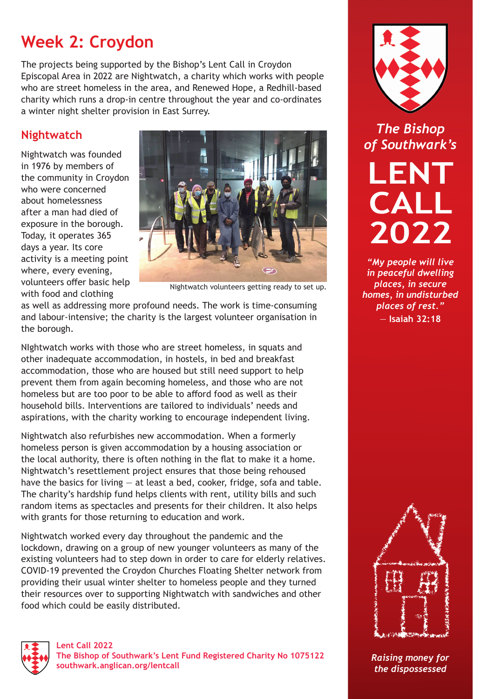## **Week 2: Croydon**

The projects being supported by the Bishop's Lent Call in Croydon Episcopal Area in 2022 are Nightwatch, a charity which works with people who are street homeless in the area, and Renewed Hope, a Redhill-based charity which runs a drop-in centre throughout the year and co-ordinates a winter night shelter provision in East Surrey.

## **Nightwatch**

Nightwatch was founded in 1976 by members of the community in Croydon who were concerned about homelessness after a man had died of exposure in the borough. Today, it operates 365 days a year. Its core activity is a meeting point where, every evening, volunteers offer basic help with food and clothing



Nightwatch volunteers getting ready to set up.

as well as addressing more profound needs. The work is time-consuming and labour-intensive; the charity is the largest volunteer organisation in the borough.

NIghtwatch works with those who are street homeless, in squats and other inadequate accommodation, in hostels, in bed and breakfast accommodation, those who are housed but still need support to help prevent them from again becoming homeless, and those who are not homeless but are too poor to be able to afford food as well as their household bills. Interventions are tailored to individuals' needs and aspirations, with the charity working to encourage independent living.

Nightwatch also refurbishes new accommodation. When a formerly homeless person is given accommodation by a housing association or the local authority, there is often nothing in the flat to make it a home. Nightwatch's resettlement project ensures that those being rehoused have the basics for living  $-$  at least a bed, cooker, fridge, sofa and table. The charity's hardship fund helps clients with rent, utility bills and such random items as spectacles and presents for their children. It also helps with grants for those returning to education and work.

Nightwatch worked every day throughout the pandemic and the lockdown, drawing on a group of new younger volunteers as many of the existing volunteers had to step down in order to care for elderly relatives. COVID-19 prevented the Croydon Churches Floating Shelter network from providing their usual winter shelter to homeless people and they turned their resources over to supporting Nightwatch with sandwiches and other food which could be easily distributed.



**Lent Call 2022 The Bishop of Southwark's Lent Fund Registered Charity No 1075122 [southwark.anglican.org/lentcall](https://southwark.anglican.org/lentcall)**



*The Bishop of Southwark's*

**LENT CALL 2022**

*"My people will live in peaceful dwelling places, in secure homes, in undisturbed places of rest."*  — **Isaiah 32:18**



*Raising money for the dispossessed*